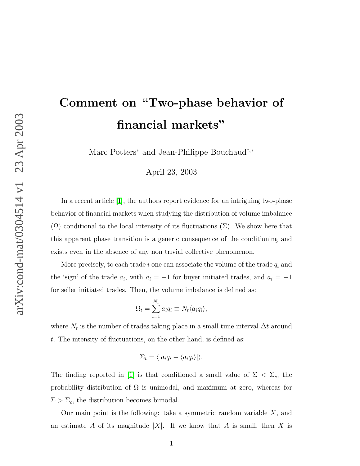## Comment on "Two-phase behavior of financial markets"

Marc Potters<sup>∗</sup> and Jean-Philippe Bouchaud†,<sup>∗</sup>

April 23, 2003

In a recent article [\[1\]](#page-2-0), the authors report evidence for an intriguing two-phase behavior of financial markets when studying the distribution of volume imbalance  $(\Omega)$  conditional to the local intensity of its fluctuations  $(\Sigma)$ . We show here that this apparent phase transition is a generic consequence of the conditioning and exists even in the absence of any non trivial collective phenomenon.

More precisely, to each trade i one can associate the volume of the trade  $q_i$  and the 'sign' of the trade  $a_i$ , with  $a_i = +1$  for buyer initiated trades, and  $a_i = -1$ for seller initiated trades. Then, the volume imbalance is defined as:

$$
\Omega_t = \sum_{i=1}^{N_t} a_i q_i \equiv N_t \langle a_i q_i \rangle,
$$

where  $N_t$  is the number of trades taking place in a small time interval  $\Delta t$  around t. The intensity of fluctuations, on the other hand, is defined as:

$$
\Sigma_t = \langle |a_i q_i - \langle a_i q_i \rangle | \rangle.
$$

The finding reported in [\[1\]](#page-2-0) is that conditioned a small value of  $\Sigma < \Sigma_c$ , the probability distribution of  $\Omega$  is unimodal, and maximum at zero, whereas for  $\Sigma > \Sigma_c$ , the distribution becomes bimodal.

Our main point is the following: take a symmetric random variable  $X$ , and an estimate A of its magnitude |X|. If we know that A is small, then X is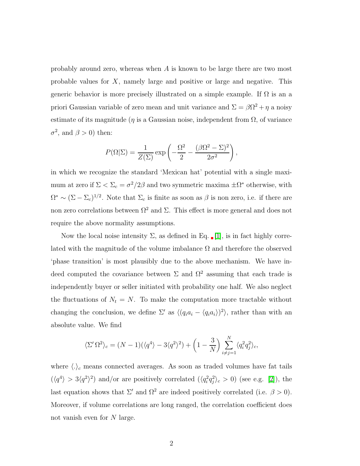probably around zero, whereas when A is known to be large there are two most probable values for X, namely large and positive or large and negative. This generic behavior is more precisely illustrated on a simple example. If  $\Omega$  is an a priori Gaussian variable of zero mean and unit variance and  $\Sigma = \beta \Omega^2 + \eta$  a noisy estimate of its magnitude ( $\eta$  is a Gaussian noise, independent from  $\Omega$ , of variance  $\sigma^2$ , and  $\beta > 0$ ) then:

$$
P(\Omega|\Sigma) = \frac{1}{Z(\Sigma)} \exp\left(-\frac{\Omega^2}{2} - \frac{(\beta \Omega^2 - \Sigma)^2}{2\sigma^2}\right),
$$

in which we recognize the standard 'Mexican hat' potential with a single maximum at zero if  $\Sigma < \Sigma_c = \sigma^2/2\beta$  and two symmetric maxima  $\pm \Omega^*$  otherwise, with  $\Omega^* \sim (\Sigma - \Sigma_c)^{1/2}$ . Note that  $\Sigma_c$  is finite as soon as  $\beta$  is non zero, i.e. if there are non zero correlations between  $\Omega^2$  and  $\Sigma$ . This effect is more general and does not require the above normality assumptions.

Now the local noise intensity  $\Sigma$ , as defined in Eq. [\[1\]](#page-2-0), is in fact highly correlated with the magnitude of the volume imbalance  $\Omega$  and therefore the observed 'phase transition' is most plausibly due to the above mechanism. We have indeed computed the covariance between  $\Sigma$  and  $\Omega^2$  assuming that each trade is independently buyer or seller initiated with probability one half. We also neglect the fluctuations of  $N_t = N$ . To make the computation more tractable without changing the conclusion, we define  $\Sigma'$  as  $\langle (q_i a_i - \langle q_i a_i \rangle)^2 \rangle$ , rather than with an absolute value. We find

$$
\langle \Sigma' \Omega^2 \rangle_c = (N-1)(\langle q^4 \rangle - 3\langle q^2 \rangle^2) + \left(1 - \frac{3}{N}\right) \sum_{i \neq j=1}^N \langle q_i^2 q_j^2 \rangle_c,
$$

where  $\langle . \rangle_c$  means connected averages. As soon as traded volumes have fat tails  $(\langle q^4 \rangle > 3 \langle q^2 \rangle^2)$  and/or are positively correlated  $(\langle q_i^2 \rangle$  $i^2q_j^2$  $j_e^2$  > 0) (see e.g. [\[2\]](#page-2-1)), the last equation shows that  $\Sigma'$  and  $\Omega^2$  are indeed positively correlated (i.e.  $\beta > 0$ ). Moreover, if volume correlations are long ranged, the correlation coefficient does not vanish even for N large.